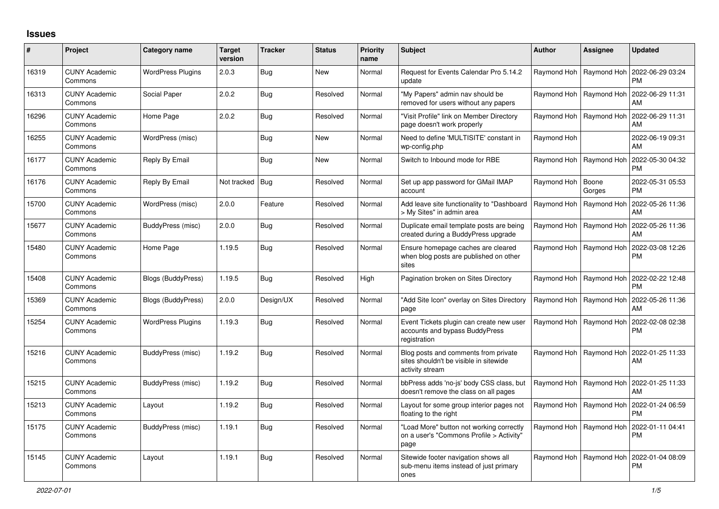## **Issues**

| #     | Project                         | Category name            | <b>Target</b><br>version | <b>Tracker</b> | <b>Status</b> | <b>Priority</b><br>name | <b>Subject</b>                                                                                    | <b>Author</b> | <b>Assignee</b> | <b>Updated</b>                |
|-------|---------------------------------|--------------------------|--------------------------|----------------|---------------|-------------------------|---------------------------------------------------------------------------------------------------|---------------|-----------------|-------------------------------|
| 16319 | <b>CUNY Academic</b><br>Commons | <b>WordPress Plugins</b> | 2.0.3                    | Bug            | <b>New</b>    | Normal                  | Request for Events Calendar Pro 5.14.2<br>update                                                  | Raymond Hoh   | Raymond Hoh     | 2022-06-29 03:24<br><b>PM</b> |
| 16313 | <b>CUNY Academic</b><br>Commons | Social Paper             | 2.0.2                    | Bug            | Resolved      | Normal                  | "My Papers" admin nav should be<br>removed for users without any papers                           | Raymond Hoh   | Raymond Hoh     | 2022-06-29 11:31<br>AM        |
| 16296 | <b>CUNY Academic</b><br>Commons | Home Page                | 2.0.2                    | Bug            | Resolved      | Normal                  | 'Visit Profile" link on Member Directory<br>page doesn't work properly                            | Raymond Hoh   | Raymond Hoh     | 2022-06-29 11:31<br>AM        |
| 16255 | <b>CUNY Academic</b><br>Commons | WordPress (misc)         |                          | <b>Bug</b>     | <b>New</b>    | Normal                  | Need to define 'MULTISITE' constant in<br>wp-config.php                                           | Raymond Hoh   |                 | 2022-06-19 09:31<br>AM        |
| 16177 | <b>CUNY Academic</b><br>Commons | Reply By Email           |                          | Bug            | <b>New</b>    | Normal                  | Switch to Inbound mode for RBE                                                                    | Raymond Hoh   | Raymond Hoh     | 2022-05-30 04:32<br><b>PM</b> |
| 16176 | <b>CUNY Academic</b><br>Commons | Reply By Email           | Not tracked   Bug        |                | Resolved      | Normal                  | Set up app password for GMail IMAP<br>account                                                     | Raymond Hoh   | Boone<br>Gorges | 2022-05-31 05:53<br><b>PM</b> |
| 15700 | <b>CUNY Academic</b><br>Commons | WordPress (misc)         | 2.0.0                    | Feature        | Resolved      | Normal                  | Add leave site functionality to "Dashboard<br>> My Sites" in admin area                           | Raymond Hoh   | Raymond Hoh     | 2022-05-26 11:36<br>AM        |
| 15677 | <b>CUNY Academic</b><br>Commons | BuddyPress (misc)        | 2.0.0                    | Bug            | Resolved      | Normal                  | Duplicate email template posts are being<br>created during a BuddyPress upgrade                   | Raymond Hoh   | Raymond Hoh     | 2022-05-26 11:36<br>AM        |
| 15480 | <b>CUNY Academic</b><br>Commons | Home Page                | 1.19.5                   | Bug            | Resolved      | Normal                  | Ensure homepage caches are cleared<br>when blog posts are published on other<br>sites             | Raymond Hoh   | Raymond Hoh     | 2022-03-08 12:26<br><b>PM</b> |
| 15408 | <b>CUNY Academic</b><br>Commons | Blogs (BuddyPress)       | 1.19.5                   | Bug            | Resolved      | High                    | Pagination broken on Sites Directory                                                              | Raymond Hoh   | Raymond Hoh     | 2022-02-22 12:48<br><b>PM</b> |
| 15369 | <b>CUNY Academic</b><br>Commons | Blogs (BuddyPress)       | 2.0.0                    | Design/UX      | Resolved      | Normal                  | "Add Site Icon" overlay on Sites Directory<br>page                                                | Raymond Hoh   | Raymond Hoh     | 2022-05-26 11:36<br>AM        |
| 15254 | <b>CUNY Academic</b><br>Commons | <b>WordPress Plugins</b> | 1.19.3                   | <b>Bug</b>     | Resolved      | Normal                  | Event Tickets plugin can create new user<br>accounts and bypass BuddyPress<br>registration        | Raymond Hoh   | Raymond Hoh     | 2022-02-08 02:38<br>PM        |
| 15216 | <b>CUNY Academic</b><br>Commons | BuddyPress (misc)        | 1.19.2                   | Bug            | Resolved      | Normal                  | Blog posts and comments from private<br>sites shouldn't be visible in sitewide<br>activity stream | Raymond Hoh   | Raymond Hoh     | 2022-01-25 11:33<br>AM        |
| 15215 | <b>CUNY Academic</b><br>Commons | BuddyPress (misc)        | 1.19.2                   | Bug            | Resolved      | Normal                  | bbPress adds 'no-js' body CSS class, but<br>doesn't remove the class on all pages                 | Raymond Hoh   | Raymond Hoh     | 2022-01-25 11:33<br>AM        |
| 15213 | <b>CUNY Academic</b><br>Commons | Layout                   | 1.19.2                   | Bug            | Resolved      | Normal                  | Layout for some group interior pages not<br>floating to the right                                 | Raymond Hoh   | Raymond Hoh     | 2022-01-24 06:59<br><b>PM</b> |
| 15175 | <b>CUNY Academic</b><br>Commons | BuddyPress (misc)        | 1.19.1                   | Bug            | Resolved      | Normal                  | 'Load More" button not working correctly<br>on a user's "Commons Profile > Activity"<br>page      | Raymond Hoh   | Raymond Hoh     | 2022-01-11 04:41<br>PM        |
| 15145 | <b>CUNY Academic</b><br>Commons | Layout                   | 1.19.1                   | Bug            | Resolved      | Normal                  | Sitewide footer navigation shows all<br>sub-menu items instead of just primary<br>ones            | Raymond Hoh   | Raymond Hoh     | 2022-01-04 08:09<br><b>PM</b> |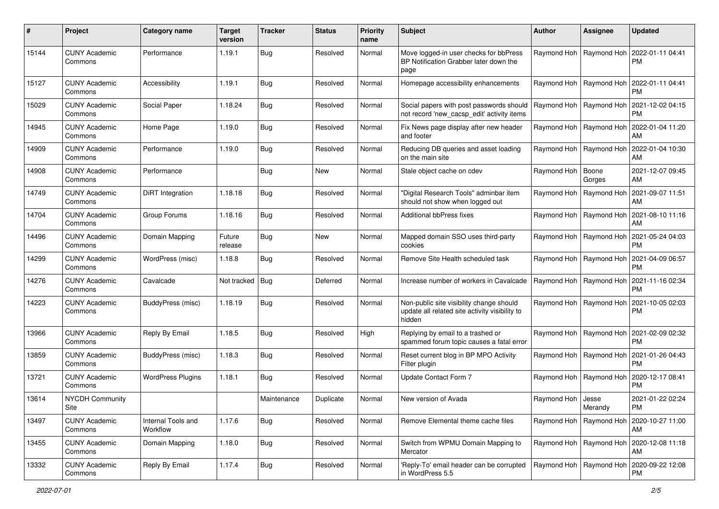| #     | Project                         | Category name                  | <b>Target</b><br>version | <b>Tracker</b> | <b>Status</b> | <b>Priority</b><br>name | Subject                                                                                              | Author      | <b>Assignee</b>           | <b>Updated</b>                                            |
|-------|---------------------------------|--------------------------------|--------------------------|----------------|---------------|-------------------------|------------------------------------------------------------------------------------------------------|-------------|---------------------------|-----------------------------------------------------------|
| 15144 | <b>CUNY Academic</b><br>Commons | Performance                    | 1.19.1                   | <b>Bug</b>     | Resolved      | Normal                  | Move logged-in user checks for bbPress<br>BP Notification Grabber later down the<br>page             |             | Raymond Hoh   Raymond Hoh | 2022-01-11 04:41<br><b>PM</b>                             |
| 15127 | <b>CUNY Academic</b><br>Commons | Accessibility                  | 1.19.1                   | <b>Bug</b>     | Resolved      | Normal                  | Homepage accessibility enhancements                                                                  |             | Raymond Hoh   Raymond Hoh | 2022-01-11 04:41<br><b>PM</b>                             |
| 15029 | <b>CUNY Academic</b><br>Commons | Social Paper                   | 1.18.24                  | <b>Bug</b>     | Resolved      | Normal                  | Social papers with post passwords should<br>not record 'new_cacsp_edit' activity items               |             | Raymond Hoh   Raymond Hoh | 2021-12-02 04:15<br><b>PM</b>                             |
| 14945 | <b>CUNY Academic</b><br>Commons | Home Page                      | 1.19.0                   | <b>Bug</b>     | Resolved      | Normal                  | Fix News page display after new header<br>and footer                                                 | Raymond Hoh | Raymond Hoh               | 2022-01-04 11:20<br>AM                                    |
| 14909 | <b>CUNY Academic</b><br>Commons | Performance                    | 1.19.0                   | <b>Bug</b>     | Resolved      | Normal                  | Reducing DB queries and asset loading<br>on the main site                                            | Raymond Hoh | Raymond Hoh               | 2022-01-04 10:30<br>AM                                    |
| 14908 | <b>CUNY Academic</b><br>Commons | Performance                    |                          | <b>Bug</b>     | New           | Normal                  | Stale object cache on cdev                                                                           | Raymond Hoh | Boone<br>Gorges           | 2021-12-07 09:45<br>AM                                    |
| 14749 | <b>CUNY Academic</b><br>Commons | DiRT Integration               | 1.18.18                  | <b>Bug</b>     | Resolved      | Normal                  | 'Digital Research Tools" adminbar item<br>should not show when logged out                            | Raymond Hoh | Raymond Hoh               | 2021-09-07 11:51<br>AM                                    |
| 14704 | <b>CUNY Academic</b><br>Commons | Group Forums                   | 1.18.16                  | <b>Bug</b>     | Resolved      | Normal                  | Additional bbPress fixes                                                                             | Raymond Hoh | Raymond Hoh               | 2021-08-10 11:16<br>AM                                    |
| 14496 | <b>CUNY Academic</b><br>Commons | Domain Mapping                 | Future<br>release        | <b>Bug</b>     | <b>New</b>    | Normal                  | Mapped domain SSO uses third-party<br>cookies                                                        |             | Raymond Hoh   Raymond Hoh | 2021-05-24 04:03<br><b>PM</b>                             |
| 14299 | <b>CUNY Academic</b><br>Commons | WordPress (misc)               | 1.18.8                   | Bug            | Resolved      | Normal                  | Remove Site Health scheduled task                                                                    |             | Raymond Hoh   Raymond Hoh | 2021-04-09 06:57<br><b>PM</b>                             |
| 14276 | <b>CUNY Academic</b><br>Commons | Cavalcade                      | Not tracked   Bug        |                | Deferred      | Normal                  | Increase number of workers in Cavalcade                                                              | Raymond Hoh | Raymond Hoh               | 2021-11-16 02:34<br><b>PM</b>                             |
| 14223 | <b>CUNY Academic</b><br>Commons | BuddyPress (misc)              | 1.18.19                  | Bug            | Resolved      | Normal                  | Non-public site visibility change should<br>update all related site activity visibility to<br>hidden | Raymond Hoh | Raymond Hoh               | 2021-10-05 02:03<br><b>PM</b>                             |
| 13966 | <b>CUNY Academic</b><br>Commons | Reply By Email                 | 1.18.5                   | <b>Bug</b>     | Resolved      | High                    | Replying by email to a trashed or<br>spammed forum topic causes a fatal error                        | Raymond Hoh | Raymond Hoh               | 2021-02-09 02:32<br><b>PM</b>                             |
| 13859 | <b>CUNY Academic</b><br>Commons | BuddyPress (misc)              | 1.18.3                   | <b>Bug</b>     | Resolved      | Normal                  | Reset current blog in BP MPO Activity<br>Filter plugin                                               |             | Raymond Hoh   Raymond Hoh | 2021-01-26 04:43<br><b>PM</b>                             |
| 13721 | <b>CUNY Academic</b><br>Commons | <b>WordPress Plugins</b>       | 1.18.1                   | Bug            | Resolved      | Normal                  | Update Contact Form 7                                                                                | Raymond Hoh | Raymond Hoh               | 2020-12-17 08:41<br><b>PM</b>                             |
| 13614 | <b>NYCDH Community</b><br>Site  |                                |                          | Maintenance    | Duplicate     | Normal                  | New version of Avada                                                                                 | Raymond Hoh | Jesse<br>Merandy          | 2021-01-22 02:24<br>PM                                    |
| 13497 | <b>CUNY Academic</b><br>Commons | Internal Tools and<br>Workflow | 1.17.6                   | Bug            | Resolved      | Normal                  | Remove Elemental theme cache files                                                                   |             |                           | Raymond Hoh   Raymond Hoh   2020-10-27 11:00<br>AM        |
| 13455 | <b>CUNY Academic</b><br>Commons | Domain Mapping                 | 1.18.0                   | Bug            | Resolved      | Normal                  | Switch from WPMU Domain Mapping to<br>Mercator                                                       |             |                           | Raymond Hoh   Raymond Hoh   2020-12-08 11:18<br>AM        |
| 13332 | <b>CUNY Academic</b><br>Commons | Reply By Email                 | 1.17.4                   | Bug            | Resolved      | Normal                  | 'Reply-To' email header can be corrupted<br>in WordPress 5.5                                         |             |                           | Raymond Hoh   Raymond Hoh   2020-09-22 12:08<br><b>PM</b> |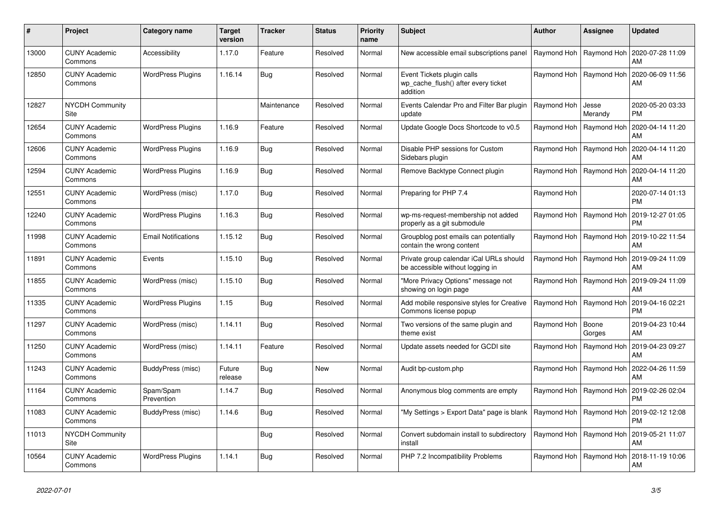| #     | Project                         | Category name              | <b>Target</b><br>version | <b>Tracker</b> | <b>Status</b> | <b>Priority</b><br>name | <b>Subject</b>                                                                | <b>Author</b>             | Assignee                  | Updated                |
|-------|---------------------------------|----------------------------|--------------------------|----------------|---------------|-------------------------|-------------------------------------------------------------------------------|---------------------------|---------------------------|------------------------|
| 13000 | <b>CUNY Academic</b><br>Commons | Accessibility              | 1.17.0                   | Feature        | Resolved      | Normal                  | New accessible email subscriptions panel                                      | Raymond Hoh               | Raymond Hoh               | 2020-07-28 11:09<br>AM |
| 12850 | <b>CUNY Academic</b><br>Commons | <b>WordPress Plugins</b>   | 1.16.14                  | Bug            | Resolved      | Normal                  | Event Tickets plugin calls<br>wp_cache_flush() after every ticket<br>addition | Raymond Hoh               | Raymond Hoh               | 2020-06-09 11:56<br>AM |
| 12827 | <b>NYCDH Community</b><br>Site  |                            |                          | Maintenance    | Resolved      | Normal                  | Events Calendar Pro and Filter Bar plugin<br>update                           | Raymond Hoh               | Jesse<br>Merandy          | 2020-05-20 03:33<br>PM |
| 12654 | <b>CUNY Academic</b><br>Commons | <b>WordPress Plugins</b>   | 1.16.9                   | Feature        | Resolved      | Normal                  | Update Google Docs Shortcode to v0.5                                          | Raymond Hoh               | Raymond Hoh               | 2020-04-14 11:20<br>AM |
| 12606 | <b>CUNY Academic</b><br>Commons | <b>WordPress Plugins</b>   | 1.16.9                   | Bug            | Resolved      | Normal                  | Disable PHP sessions for Custom<br>Sidebars plugin                            |                           | Raymond Hoh   Raymond Hoh | 2020-04-14 11:20<br>AM |
| 12594 | <b>CUNY Academic</b><br>Commons | <b>WordPress Plugins</b>   | 1.16.9                   | <b>Bug</b>     | Resolved      | Normal                  | Remove Backtype Connect plugin                                                |                           | Raymond Hoh   Raymond Hoh | 2020-04-14 11:20<br>AM |
| 12551 | <b>CUNY Academic</b><br>Commons | WordPress (misc)           | 1.17.0                   | Bug            | Resolved      | Normal                  | Preparing for PHP 7.4                                                         | Raymond Hoh               |                           | 2020-07-14 01:13<br>PM |
| 12240 | <b>CUNY Academic</b><br>Commons | <b>WordPress Plugins</b>   | 1.16.3                   | Bug            | Resolved      | Normal                  | wp-ms-request-membership not added<br>properly as a git submodule             | Raymond Hoh               | Raymond Hoh               | 2019-12-27 01:05<br>PM |
| 11998 | <b>CUNY Academic</b><br>Commons | <b>Email Notifications</b> | 1.15.12                  | <b>Bug</b>     | Resolved      | Normal                  | Groupblog post emails can potentially<br>contain the wrong content            | Raymond Hoh   Raymond Hoh |                           | 2019-10-22 11:54<br>AM |
| 11891 | <b>CUNY Academic</b><br>Commons | Events                     | 1.15.10                  | Bug            | Resolved      | Normal                  | Private group calendar iCal URLs should<br>be accessible without logging in   | Raymond Hoh   Raymond Hoh |                           | 2019-09-24 11:09<br>AM |
| 11855 | <b>CUNY Academic</b><br>Commons | WordPress (misc)           | 1.15.10                  | Bug            | Resolved      | Normal                  | "More Privacy Options" message not<br>showing on login page                   | Raymond Hoh               | Raymond Hoh               | 2019-09-24 11:09<br>AM |
| 11335 | <b>CUNY Academic</b><br>Commons | <b>WordPress Plugins</b>   | 1.15                     | <b>Bug</b>     | Resolved      | Normal                  | Add mobile responsive styles for Creative<br>Commons license popup            | Raymond Hoh   Raymond Hoh |                           | 2019-04-16 02:21<br>PM |
| 11297 | <b>CUNY Academic</b><br>Commons | WordPress (misc)           | 1.14.11                  | Bug            | Resolved      | Normal                  | Two versions of the same plugin and<br>theme exist                            | Raymond Hoh               | Boone<br>Gorges           | 2019-04-23 10:44<br>AM |
| 11250 | <b>CUNY Academic</b><br>Commons | WordPress (misc)           | 1.14.11                  | Feature        | Resolved      | Normal                  | Update assets needed for GCDI site                                            | Raymond Hoh               | Raymond Hoh               | 2019-04-23 09:27<br>AM |
| 11243 | <b>CUNY Academic</b><br>Commons | BuddyPress (misc)          | Future<br>release        | Bug            | <b>New</b>    | Normal                  | Audit bp-custom.php                                                           |                           | Raymond Hoh   Raymond Hoh | 2022-04-26 11:59<br>AM |
| 11164 | <b>CUNY Academic</b><br>Commons | Spam/Spam<br>Prevention    | 1.14.7                   | Bug            | Resolved      | Normal                  | Anonymous blog comments are empty                                             | Raymond Hoh               | Raymond Hoh               | 2019-02-26 02:04<br>PM |
| 11083 | <b>CUNY Academic</b><br>Commons | BuddyPress (misc)          | 1.14.6                   | Bug            | Resolved      | Normal                  | "My Settings > Export Data" page is blank                                     | Raymond Hoh               | Raymond Hoh               | 2019-02-12 12:08<br>PM |
| 11013 | <b>NYCDH Community</b><br>Site  |                            |                          | Bug            | Resolved      | Normal                  | Convert subdomain install to subdirectory<br>install                          |                           | Raymond Hoh   Raymond Hoh | 2019-05-21 11:07<br>AM |
| 10564 | <b>CUNY Academic</b><br>Commons | <b>WordPress Plugins</b>   | 1.14.1                   | Bug            | Resolved      | Normal                  | PHP 7.2 Incompatibility Problems                                              | Raymond Hoh               | Raymond Hoh               | 2018-11-19 10:06<br>AM |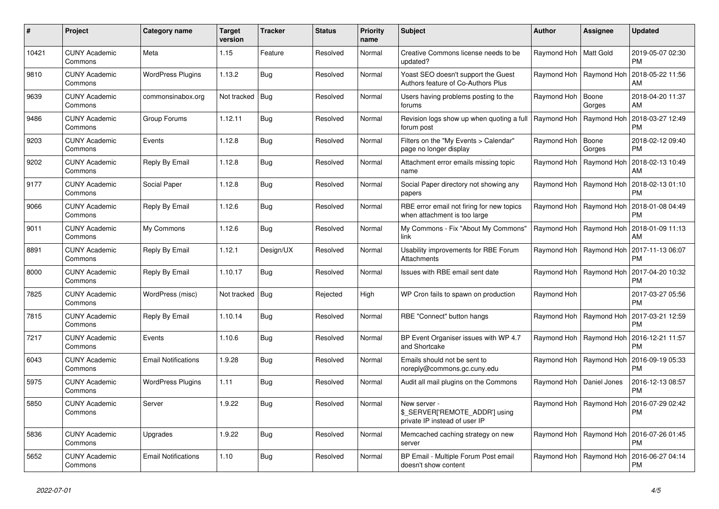| #     | Project                         | Category name              | <b>Target</b><br>version | Tracker    | <b>Status</b> | <b>Priority</b><br>name | <b>Subject</b>                                                                  | <b>Author</b>              | Assignee                  | <b>Updated</b>                                            |
|-------|---------------------------------|----------------------------|--------------------------|------------|---------------|-------------------------|---------------------------------------------------------------------------------|----------------------------|---------------------------|-----------------------------------------------------------|
| 10421 | <b>CUNY Academic</b><br>Commons | Meta                       | 1.15                     | Feature    | Resolved      | Normal                  | Creative Commons license needs to be<br>updated?                                | Raymond Hoh   Matt Gold    |                           | 2019-05-07 02:30<br><b>PM</b>                             |
| 9810  | <b>CUNY Academic</b><br>Commons | <b>WordPress Plugins</b>   | 1.13.2                   | Bug        | Resolved      | Normal                  | Yoast SEO doesn't support the Guest<br>Authors feature of Co-Authors Plus       |                            | Raymond Hoh   Raymond Hoh | 2018-05-22 11:56<br>AM                                    |
| 9639  | <b>CUNY Academic</b><br>Commons | commonsinabox.org          | Not tracked   Bug        |            | Resolved      | Normal                  | Users having problems posting to the<br>forums                                  | Raymond Hoh   Boone        | Gorges                    | 2018-04-20 11:37<br>AM                                    |
| 9486  | <b>CUNY Academic</b><br>Commons | Group Forums               | 1.12.11                  | Bug        | Resolved      | Normal                  | Revision logs show up when quoting a full<br>forum post                         | Raymond Hoh   Raymond Hoh  |                           | 2018-03-27 12:49<br><b>PM</b>                             |
| 9203  | <b>CUNY Academic</b><br>Commons | Events                     | 1.12.8                   | Bug        | Resolved      | Normal                  | Filters on the "My Events > Calendar"<br>page no longer display                 | Raymond Hoh                | Boone<br>Gorges           | 2018-02-12 09:40<br><b>PM</b>                             |
| 9202  | <b>CUNY Academic</b><br>Commons | Reply By Email             | 1.12.8                   | Bug        | Resolved      | Normal                  | Attachment error emails missing topic<br>name                                   | Raymond Hoh                | Raymond Hoh               | 2018-02-13 10:49<br>AM                                    |
| 9177  | <b>CUNY Academic</b><br>Commons | Social Paper               | 1.12.8                   | <b>Bug</b> | Resolved      | Normal                  | Social Paper directory not showing any<br>papers                                |                            | Raymond Hoh   Raymond Hoh | 2018-02-13 01:10<br><b>PM</b>                             |
| 9066  | <b>CUNY Academic</b><br>Commons | Reply By Email             | 1.12.6                   | Bug        | Resolved      | Normal                  | RBE error email not firing for new topics<br>when attachment is too large       |                            | Raymond Hoh   Raymond Hoh | 2018-01-08 04:49<br><b>PM</b>                             |
| 9011  | <b>CUNY Academic</b><br>Commons | My Commons                 | 1.12.6                   | Bug        | Resolved      | Normal                  | My Commons - Fix "About My Commons"<br>link                                     | Raymond Hoh                | Raymond Hoh               | 2018-01-09 11:13<br>AM                                    |
| 8891  | <b>CUNY Academic</b><br>Commons | Reply By Email             | 1.12.1                   | Design/UX  | Resolved      | Normal                  | Usability improvements for RBE Forum<br>Attachments                             |                            |                           | Raymond Hoh   Raymond Hoh   2017-11-13 06:07<br><b>PM</b> |
| 8000  | <b>CUNY Academic</b><br>Commons | Reply By Email             | 1.10.17                  | Bug        | Resolved      | Normal                  | Issues with RBE email sent date                                                 |                            | Raymond Hoh   Raymond Hoh | 2017-04-20 10:32<br><b>PM</b>                             |
| 7825  | <b>CUNY Academic</b><br>Commons | WordPress (misc)           | Not tracked   Bug        |            | Rejected      | High                    | WP Cron fails to spawn on production                                            | Raymond Hoh                |                           | 2017-03-27 05:56<br><b>PM</b>                             |
| 7815  | <b>CUNY Academic</b><br>Commons | Reply By Email             | 1.10.14                  | Bug        | Resolved      | Normal                  | RBE "Connect" button hangs                                                      |                            |                           | Raymond Hoh   Raymond Hoh   2017-03-21 12:59<br><b>PM</b> |
| 7217  | <b>CUNY Academic</b><br>Commons | Events                     | 1.10.6                   | Bug        | Resolved      | Normal                  | BP Event Organiser issues with WP 4.7<br>and Shortcake                          |                            | Raymond Hoh   Raymond Hoh | 2016-12-21 11:57<br><b>PM</b>                             |
| 6043  | <b>CUNY Academic</b><br>Commons | <b>Email Notifications</b> | 1.9.28                   | Bug        | Resolved      | Normal                  | Emails should not be sent to<br>noreply@commons.gc.cuny.edu                     |                            | Raymond Hoh   Raymond Hoh | 2016-09-19 05:33<br><b>PM</b>                             |
| 5975  | <b>CUNY Academic</b><br>Commons | <b>WordPress Plugins</b>   | 1.11                     | Bug        | Resolved      | Normal                  | Audit all mail plugins on the Commons                                           | Raymond Hoh   Daniel Jones |                           | 2016-12-13 08:57<br><b>PM</b>                             |
| 5850  | <b>CUNY Academic</b><br>Commons | Server                     | 1.9.22                   | Bug        | Resolved      | Normal                  | New server -<br>\$_SERVER['REMOTE_ADDR'] using<br>private IP instead of user IP |                            | Raymond Hoh   Raymond Hoh | 2016-07-29 02:42<br><b>PM</b>                             |
| 5836  | <b>CUNY Academic</b><br>Commons | Upgrades                   | 1.9.22                   | Bug        | Resolved      | Normal                  | Memcached caching strategy on new<br>server                                     |                            | Raymond Hoh   Raymond Hoh | 2016-07-26 01:45<br><b>PM</b>                             |
| 5652  | CUNY Academic<br>Commons        | <b>Email Notifications</b> | 1.10                     | Bug        | Resolved      | Normal                  | BP Email - Multiple Forum Post email<br>doesn't show content                    |                            | Raymond Hoh   Raymond Hoh | 2016-06-27 04:14<br><b>PM</b>                             |